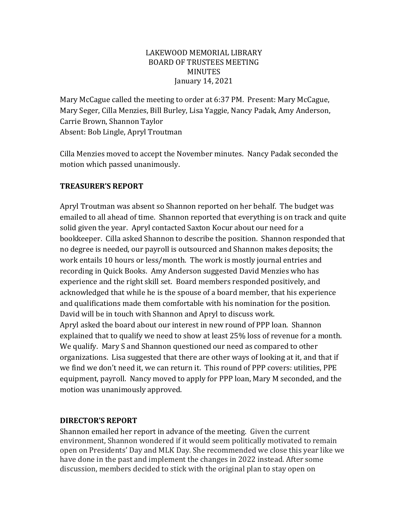### LAKEWOOD MEMORIAL LIBRARY BOARD OF TRUSTEES MEETING MINUTES January 14, 2021

Mary McCague called the meeting to order at 6:37 PM. Present: Mary McCague, Mary Seger, Cilla Menzies, Bill Burley, Lisa Yaggie, Nancy Padak, Amy Anderson, Carrie Brown, Shannon Taylor Absent: Bob Lingle, Apryl Troutman

Cilla Menzies moved to accept the November minutes. Nancy Padak seconded the motion which passed unanimously.

# **TREASURER'S REPORT**

Apryl Troutman was absent so Shannon reported on her behalf. The budget was emailed to all ahead of time. Shannon reported that everything is on track and quite solid given the year. Apryl contacted Saxton Kocur about our need for a bookkeeper. Cilla asked Shannon to describe the position. Shannon responded that no degree is needed, our payroll is outsourced and Shannon makes deposits; the work entails 10 hours or less/month. The work is mostly journal entries and recording in Quick Books. Amy Anderson suggested David Menzies who has experience and the right skill set. Board members responded positively, and acknowledged that while he is the spouse of a board member, that his experience and qualifications made them comfortable with his nomination for the position. David will be in touch with Shannon and Apryl to discuss work. Apryl asked the board about our interest in new round of PPP loan. Shannon explained that to qualify we need to show at least 25% loss of revenue for a month. We qualify. Mary S and Shannon questioned our need as compared to other organizations. Lisa suggested that there are other ways of looking at it, and that if we find we don't need it, we can return it. This round of PPP covers: utilities, PPE equipment, payroll. Nancy moved to apply for PPP loan, Mary M seconded, and the motion was unanimously approved.

# **DIRECTOR'S REPORT**

Shannon emailed her report in advance of the meeting. Given the current environment, Shannon wondered if it would seem politically motivated to remain open on Presidents' Day and MLK Day. She recommended we close this year like we have done in the past and implement the changes in 2022 instead. After some discussion, members decided to stick with the original plan to stay open on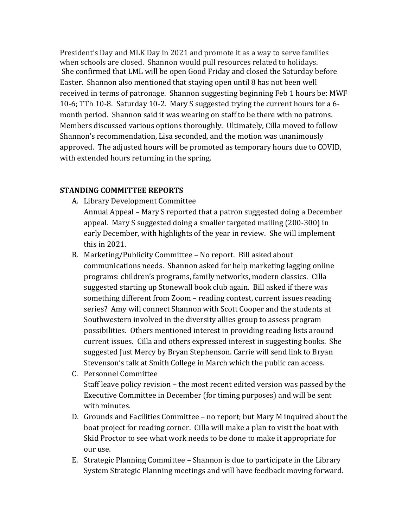President's Day and MLK Day in 2021 and promote it as a way to serve families when schools are closed. Shannon would pull resources related to holidays. She confirmed that LML will be open Good Friday and closed the Saturday before Easter. Shannon also mentioned that staying open until 8 has not been well received in terms of patronage. Shannon suggesting beginning Feb 1 hours be: MWF 10-6; TTh 10-8. Saturday 10-2. Mary S suggested trying the current hours for a 6 month period. Shannon said it was wearing on staff to be there with no patrons. Members discussed various options thoroughly. Ultimately, Cilla moved to follow Shannon's recommendation, Lisa seconded, and the motion was unanimously approved. The adjusted hours will be promoted as temporary hours due to COVID, with extended hours returning in the spring.

# **STANDING COMMITTEE REPORTS**

- A. Library Development Committee
	- Annual Appeal Mary S reported that a patron suggested doing a December appeal. Mary S suggested doing a smaller targeted mailing (200-300) in early December, with highlights of the year in review. She will implement this in 2021.
- B. Marketing/Publicity Committee No report. Bill asked about communications needs. Shannon asked for help marketing lagging online programs: children's programs, family networks, modern classics. Cilla suggested starting up Stonewall book club again. Bill asked if there was something different from Zoom – reading contest, current issues reading series? Amy will connect Shannon with Scott Cooper and the students at Southwestern involved in the diversity allies group to assess program possibilities. Others mentioned interest in providing reading lists around current issues. Cilla and others expressed interest in suggesting books. She suggested Just Mercy by Bryan Stephenson. Carrie will send link to Bryan Stevenson's talk at Smith College in March which the public can access.
- C. Personnel Committee Staff leave policy revision – the most recent edited version was passed by the Executive Committee in December (for timing purposes) and will be sent with minutes.
- D. Grounds and Facilities Committee no report; but Mary M inquired about the boat project for reading corner. Cilla will make a plan to visit the boat with Skid Proctor to see what work needs to be done to make it appropriate for our use.
- E. Strategic Planning Committee Shannon is due to participate in the Library System Strategic Planning meetings and will have feedback moving forward.